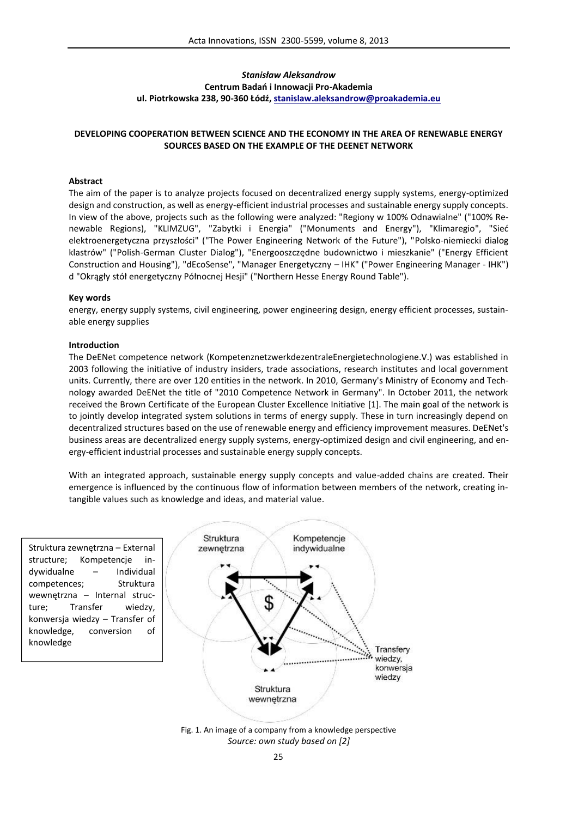# *Stanisław Aleksandrow* **Centrum Badań i Innowacji Pro-Akademia ul. Piotrkowska 238, 90-360 Łódź, stanislaw.aleksandrow@proakademia.eu**

## **DEVELOPING COOPERATION BETWEEN SCIENCE AND THE ECONOMY IN THE AREA OF RENEWABLE ENERGY SOURCES BASED ON THE EXAMPLE OF THE DEENET NETWORK**

## **Abstract**

The aim of the paper is to analyze projects focused on decentralized energy supply systems, energy-optimized design and construction, as well as energy-efficient industrial processes and sustainable energy supply concepts. In view of the above, projects such as the following were analyzed: "Regiony w 100% Odnawialne" ("100% Renewable Regions), "KLIMZUG", "Zabytki i Energia" ("Monuments and Energy"), "Klimaregio", "Sieć elektroenergetyczna przyszłości" ("The Power Engineering Network of the Future"), "Polsko-niemiecki dialog klastrów" ("Polish-German Cluster Dialog"), "Energooszczędne budownictwo i mieszkanie" ("Energy Efficient Construction and Housing"), "dEcoSense", "Manager Energetyczny – IHK" ("Power Engineering Manager - IHK") d "Okrągły stół energetyczny Północnej Hesji" ("Northern Hesse Energy Round Table").

#### **Key words**

energy, energy supply systems, civil engineering, power engineering design, energy efficient processes, sustainable energy supplies

#### **Introduction**

The DeENet competence network (KompetenznetzwerkdezentraleEnergietechnologiene.V.) was established in 2003 following the initiative of industry insiders, trade associations, research institutes and local government units. Currently, there are over 120 entities in the network. In 2010, Germany's Ministry of Economy and Technology awarded DeENet the title of "2010 Competence Network in Germany". In October 2011, the network received the Brown Certificate of the European Cluster Excellence Initiative [1]. The main goal of the network is to jointly develop integrated system solutions in terms of energy supply. These in turn increasingly depend on decentralized structures based on the use of renewable energy and efficiency improvement measures. DeENet's business areas are decentralized energy supply systems, energy-optimized design and civil engineering, and energy-efficient industrial processes and sustainable energy supply concepts.

With an integrated approach, sustainable energy supply concepts and value-added chains are created. Their emergence is influenced by the continuous flow of information between members of the network, creating intangible values such as knowledge and ideas, and material value.

Struktura zewnętrzna – External structure; Kompetencje indywidualne – Individual competences; Struktura wewnętrzna – Internal structure; Transfer wiedzy, konwersja wiedzy – Transfer of knowledge, conversion of knowledge



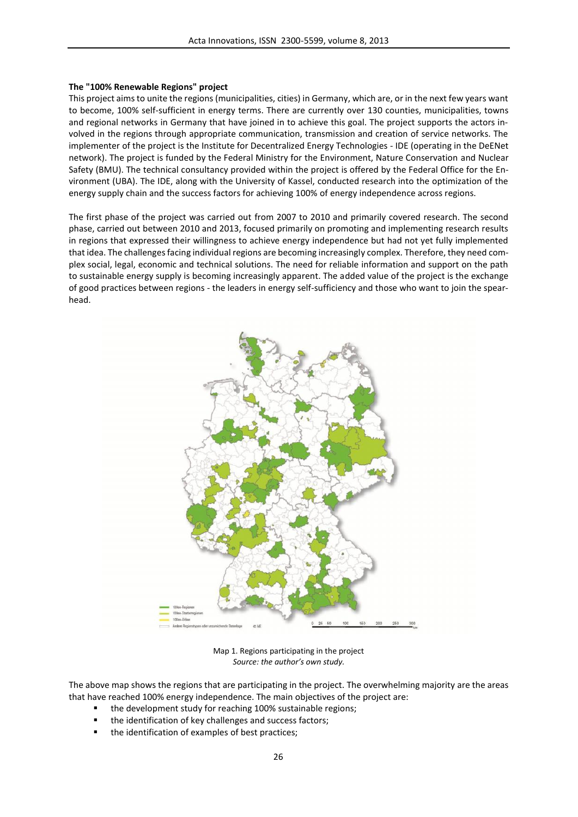#### **The "100% Renewable Regions" project**

This project aims to unite the regions (municipalities, cities) in Germany, which are, or in the next few years want to become, 100% self-sufficient in energy terms. There are currently over 130 counties, municipalities, towns and regional networks in Germany that have joined in to achieve this goal. The project supports the actors involved in the regions through appropriate communication, transmission and creation of service networks. The implementer of the project is the Institute for Decentralized Energy Technologies - IDE (operating in the DeENet network). The project is funded by the Federal Ministry for the Environment, Nature Conservation and Nuclear Safety (BMU). The technical consultancy provided within the project is offered by the Federal Office for the Environment (UBA). The IDE, along with the University of Kassel, conducted research into the optimization of the energy supply chain and the success factors for achieving 100% of energy independence across regions.

The first phase of the project was carried out from 2007 to 2010 and primarily covered research. The second phase, carried out between 2010 and 2013, focused primarily on promoting and implementing research results in regions that expressed their willingness to achieve energy independence but had not yet fully implemented that idea. The challenges facing individual regions are becoming increasingly complex. Therefore, they need complex social, legal, economic and technical solutions. The need for reliable information and support on the path to sustainable energy supply is becoming increasingly apparent. The added value of the project is the exchange of good practices between regions -the leaders in energy self-sufficiency and those who want to join the spearhead.



Map 1. Regions participating in the project *Source: the author's own study.*

The above map shows the regions that are participating in the project. The overwhelming majority are the areas that have reached 100% energy independence. The main objectives of the project are:

- the development study for reaching 100% sustainable regions;
- the identification of key challenges and success factors;
- the identification of examples of best practices;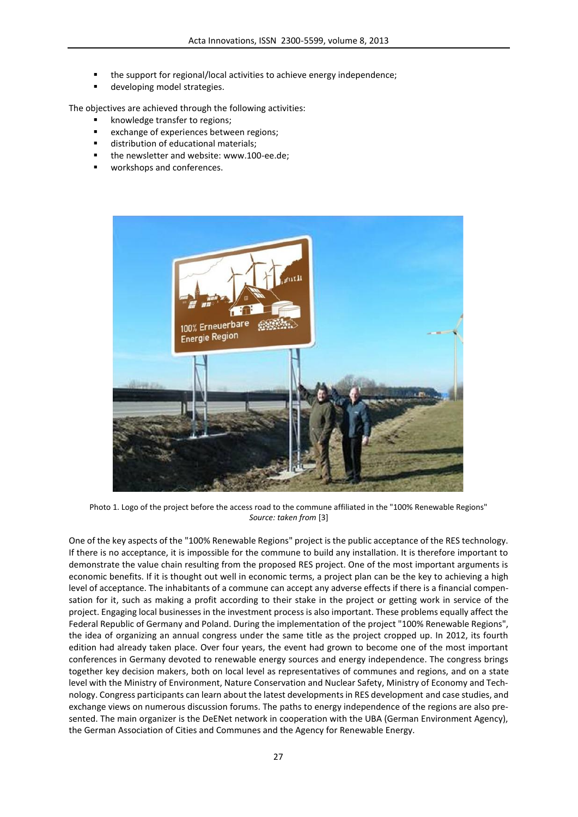- the support for regional/local activities to achieve energy independence;
- developing model strategies.

The objectives are achieved through the following activities:

- knowledge transfer to regions;
- exchange of experiences between regions;
- distribution of educational materials;
- the newsletter and website: www.100-ee.de;
- workshops and conferences.



Photo 1. Logo of the project before the access road to the commune affiliated in the "100% Renewable Regions" *Source: taken from* [3]

One of the key aspects of the "100% Renewable Regions" project is the public acceptance of the RES technology. If there is no acceptance, it is impossible for the commune to build any installation. It is therefore important to demonstrate the value chain resulting from the proposed RES project. One of the most important arguments is economic benefits. If it is thought out well in economic terms, a project plan can be the key to achieving a high level of acceptance. The inhabitants of a commune can accept any adverse effects if there is a financial compensation for it, such as making a profit according to their stake in the project or getting work in service of the project. Engaging local businesses in the investment process is also important. These problems equally affect the Federal Republic of Germany and Poland. During the implementation of the project "100% Renewable Regions", the idea of organizing an annual congress under the same title as the project cropped up. In 2012, its fourth edition had already taken place. Over four years, the event had grown to become one of the most important conferences in Germany devoted to renewable energy sources and energy independence. The congress brings together key decision makers, both on local level as representatives of communes and regions, and on a state level with the Ministry of Environment, Nature Conservation and Nuclear Safety, Ministry of Economy and Technology. Congress participants can learn about the latest developments in RES development and case studies, and exchange views on numerous discussion forums. The paths to energy independence of the regions are also presented. The main organizer is the DeENet network in cooperation with the UBA (German Environment Agency), the German Association of Cities and Communes and the Agency for Renewable Energy.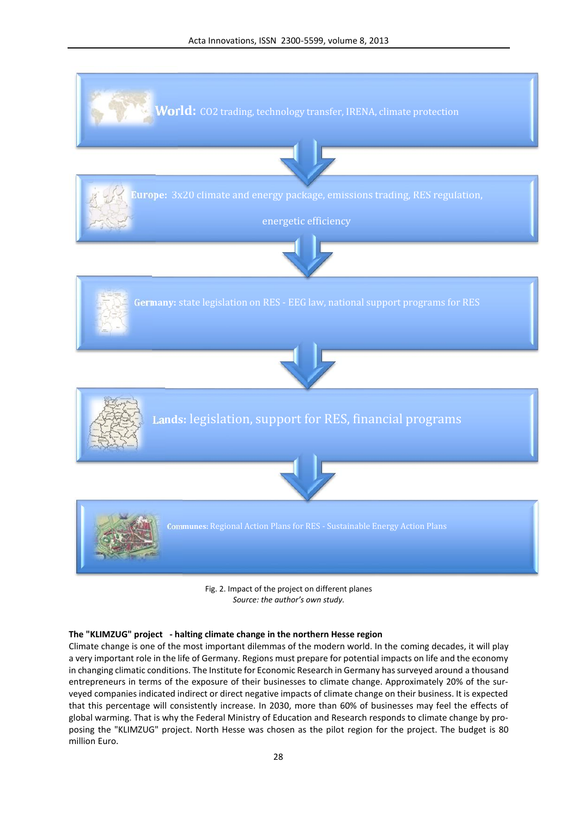

Fig. 2. Impact of the project on different planes *Source: the author's own study.*

# **The "KLIMZUG" project - halting climate change in the northern Hesse region**

Climate change is one of the most important dilemmas of the modern world. In the coming decades, it will play a very important role in the life of Germany. Regions must prepare for potential impacts on life and the economy in changing climatic conditions. The Institute for Economic Research in Germany has surveyed around a thousand entrepreneurs in terms of the exposure of their businesses to climate change. Approximately 20% of the surveyed companies indicated indirect or direct negative impacts of climate change on their business. It is expected that this percentage will consistently increase. In 2030, more than 60% of businesses may feel the effects of global warming. That is why the Federal Ministry of Education and Research responds to climate change by proposing the "KLIMZUG" project. North Hesse was chosen as the pilot region for the project. The budget is 80 million Euro.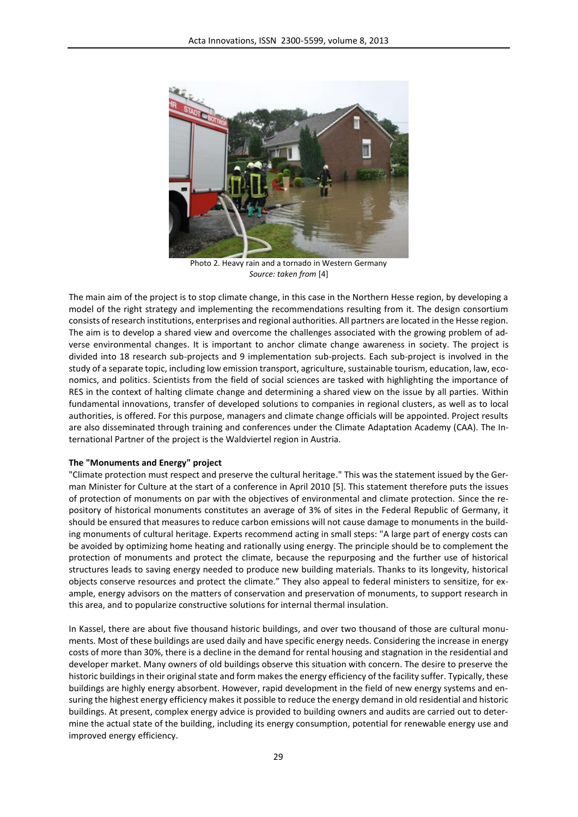

Photo 2. Heavy rain and a tornado in Western Germany *Source: taken from* [4]

The main aim of the project is to stop climate change, in this case in the Northern Hesse region, by developing a model of the right strategy and implementing the recommendations resulting from it. The design consortium consists of research institutions, enterprises and regional authorities. All partners are located in the Hesse region. The aim is to develop a shared view and overcome the challenges associated with the growing problem of adverse environmental changes. It is important to anchor climate change awareness in society. The project is divided into 18 research sub-projects and 9 implementation sub-projects. Each sub-project is involved in the study of a separate topic, including low emission transport, agriculture, sustainable tourism, education, law, economics, and politics. Scientists from the field of social sciences are tasked with highlighting the importance of RES in the context of halting climate change and determining a shared view on the issue by all parties. Within fundamental innovations, transfer of developed solutions to companies in regional clusters, as well as to local authorities, is offered. For this purpose, managers and climate change officials will be appointed. Project results are also disseminated through training and conferences under the Climate Adaptation Academy (CAA). The International Partner of the project is the Waldviertel region in Austria.

#### **The "Monuments and Energy" project**

"Climate protection must respect and preserve the cultural heritage." This was the statement issued by the German Minister for Culture at the start of a conference in April 2010 [5]. This statement therefore puts the issues of protection of monuments on par with the objectives of environmental and climate protection. Since the repository of historical monuments constitutes an average of 3% of sites in the Federal Republic of Germany, it should be ensured that measures to reduce carbon emissions will not cause damage to monuments in the building monuments of cultural heritage. Experts recommend acting in small steps: "A large part of energy costs can be avoided by optimizing home heating and rationally using energy. The principle should be to complement the protection of monuments and protect the climate, because the repurposing and the further use of historical structures leads to saving energy needed to produce new building materials. Thanks to its longevity, historical objects conserve resources and protect the climate." They also appeal to federal ministers to sensitize, for example, energy advisors on the matters of conservation and preservation of monuments, to support research in this area, and to popularize constructive solutions for internal thermal insulation.

In Kassel, there are about five thousand historic buildings, and over two thousand of those are cultural monuments. Most of these buildings are used daily and have specific energy needs. Considering the increase in energy costs of more than 30%, there is a decline in the demand for rental housing and stagnation in the residential and developer market. Many owners of old buildings observe this situation with concern. The desire to preserve the historic buildings in their original state and form makes the energy efficiency of the facility suffer. Typically, these buildings are highly energy absorbent. However, rapid development in the field of new energy systems and ensuring the highest energy efficiency makes it possible to reduce the energy demand in old residential and historic buildings. At present, complex energy advice is provided to building owners and audits are carried out to determine the actual state of the building, including its energy consumption, potential for renewable energy use and improved energy efficiency.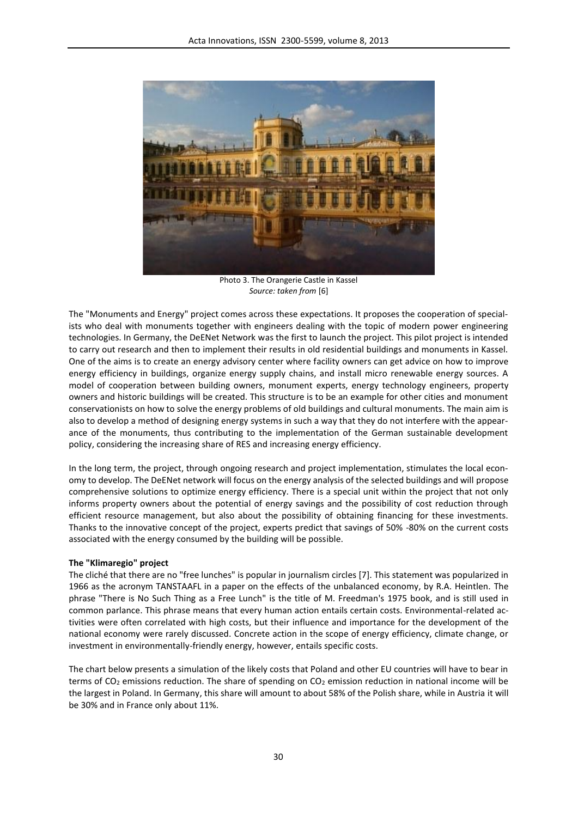

Photo 3. The Orangerie Castle in Kassel *Source: taken from* [6]

The "Monuments and Energy" project comes across these expectations. It proposes the cooperation of specialists who deal with monuments together with engineers dealing with the topic of modern power engineering technologies. In Germany, the DeENet Network was the first to launch the project. This pilot project is intended to carry out research and then to implement their results in old residential buildings and monuments in Kassel. One of the aims is to create an energy advisory center where facility owners can get advice on how to improve energy efficiency in buildings, organize energy supply chains, and install micro renewable energy sources. A model of cooperation between building owners, monument experts, energy technology engineers, property owners and historic buildings will be created. This structure is to be an example for other cities and monument conservationists on how to solve the energy problems of old buildings and cultural monuments. The main aim is also to develop a method of designing energy systems in such a way that they do not interfere with the appearance of the monuments, thus contributing to the implementation of the German sustainable development policy, considering the increasing share of RES and increasing energy efficiency.

In the long term, the project, through ongoing research and project implementation, stimulates the local economy to develop. The DeENet network will focus on the energy analysis of the selected buildings and will propose comprehensive solutions to optimize energy efficiency. There is a special unit within the project that not only informs property owners about the potential of energy savings and the possibility of cost reduction through efficient resource management, but also about the possibility of obtaining financing for these investments. Thanks to the innovative concept of the project, experts predict that savings of 50% -80% on the current costs associated with the energy consumed by the building will be possible.

### **The "Klimaregio" project**

The cliché that there are no "free lunches" is popular in journalism circles [7]. This statement was popularized in 1966 as the acronym TANSTAAFL in a paper on the effects of the unbalanced economy, by R.A. Heintlen. The phrase "There is No Such Thing as a Free Lunch" is the title of M. Freedman's 1975 book, and is still used in common parlance. This phrase means that every human action entails certain costs. Environmental-related activities were often correlated with high costs, but their influence and importance for the development of the national economy were rarely discussed. Concrete action in the scope of energy efficiency, climate change, or investment in environmentally-friendly energy, however, entails specific costs.

The chart below presents a simulation of the likely costs that Poland and other EU countries will have to bear in terms of  $CO<sub>2</sub>$  emissions reduction. The share of spending on  $CO<sub>2</sub>$  emission reduction in national income will be the largest in Poland. In Germany, this share will amount to about 58% of the Polish share, while in Austria it will be 30% and in France only about 11%.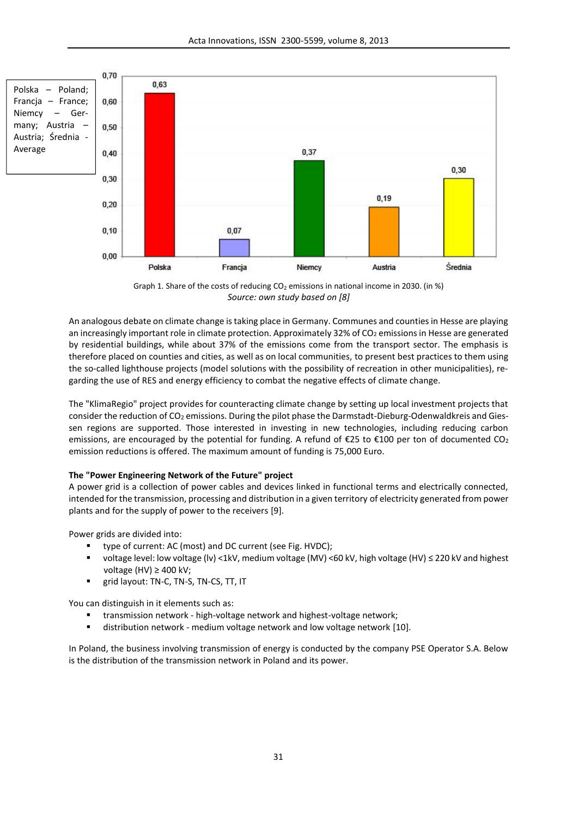

Graph 1. Share of the costs of reducing  $CO<sub>2</sub>$  emissions in national income in 2030. (in %) *Source: own study based on [8]*

An analogous debate on climate change is taking place in Germany. Communes and counties in Hesse are playing an increasingly important role in climate protection. Approximately 32% of CO<sub>2</sub> emissions in Hesse are generated by residential buildings, while about 37% of the emissions come from the transport sector. The emphasis is therefore placed on counties and cities, as well as on local communities, to present best practices to them using the so-called lighthouse projects (model solutions with the possibility of recreation in other municipalities), regarding the use of RES and energy efficiency to combat the negative effects of climate change.

The "KlimaRegio" project provides for counteracting climate change by setting up local investment projects that consider the reduction of CO<sub>2</sub> emissions. During the pilot phase the Darmstadt-Dieburg-Odenwaldkreis and Giessen regions are supported. Those interested in investing in new technologies, including reducing carbon emissions, are encouraged by the potential for funding. A refund of €25 to €100 per ton of documented CO2 emission reductions is offered. The maximum amount of funding is 75,000 Euro.

### **The "Power Engineering Network of the Future" project**

A power grid is a collection of power cables and devices linked in functional terms and electrically connected, intended for the transmission, processing and distribution in a given territory of electricity generated from power plants and for the supply of power to the receivers [9].

Power grids are divided into:

- type of current: AC (most) and DC current (see Fig. HVDC);
- voltage level: low voltage (lv) <1kV, medium voltage (MV) <60 kV, high voltage (HV) ≤ 220 kV and highest voltage (HV) ≥ 400 kV;
- grid layout: TN-C, TN-S, TN-CS, TT, IT

You can distinguish in it elements such as:

- transmission network high-voltage network and highest-voltage network;
- distribution network medium voltage network and low voltage network [10].

In Poland, the business involving transmission of energy is conducted by the company PSE Operator S.A. Below is the distribution of the transmission network in Poland and its power.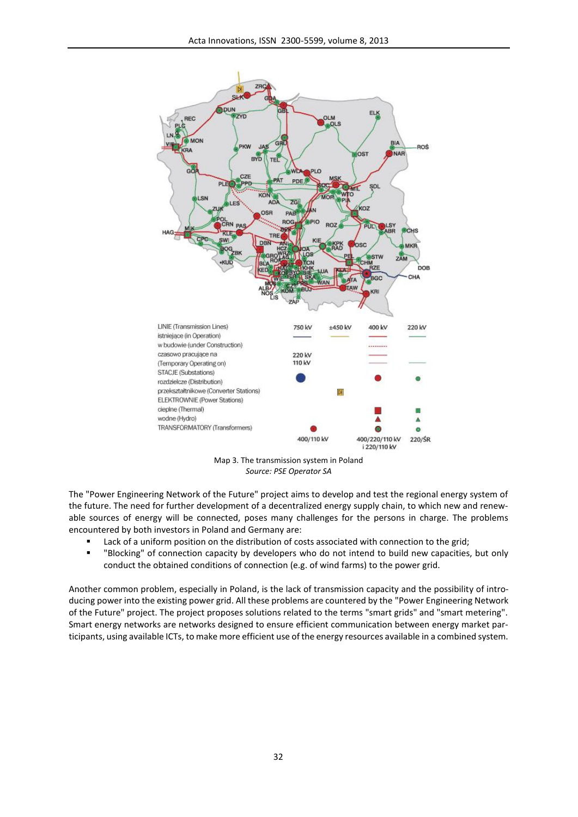

Map 3. The transmission system in Poland *Source: PSE Operator SA*

The "Power Engineering Network of the Future" project aims to develop and test the regional energy system of the future. The need for further development of a decentralized energy supply chain, to which new and renewable sources of energy will be connected, poses many challenges for the persons in charge. The problems encountered by both investors in Poland and Germany are:

- Lack of a uniform position on the distribution of costs associated with connection to the grid;
- "Blocking" of connection capacity by developers who do not intend to build new capacities, but only conduct the obtained conditions of connection (e.g. of wind farms) to the power grid.

Another common problem, especially in Poland, is the lack of transmission capacity and the possibility of introducing power into the existing power grid. All these problems are countered by the "Power Engineering Network of the Future" project. The project proposes solutions related to the terms "smart grids" and "smart metering". Smart energy networks are networks designed to ensure efficient communication between energy market participants, using available ICTs, to make more efficient use of the energy resources available in a combined system.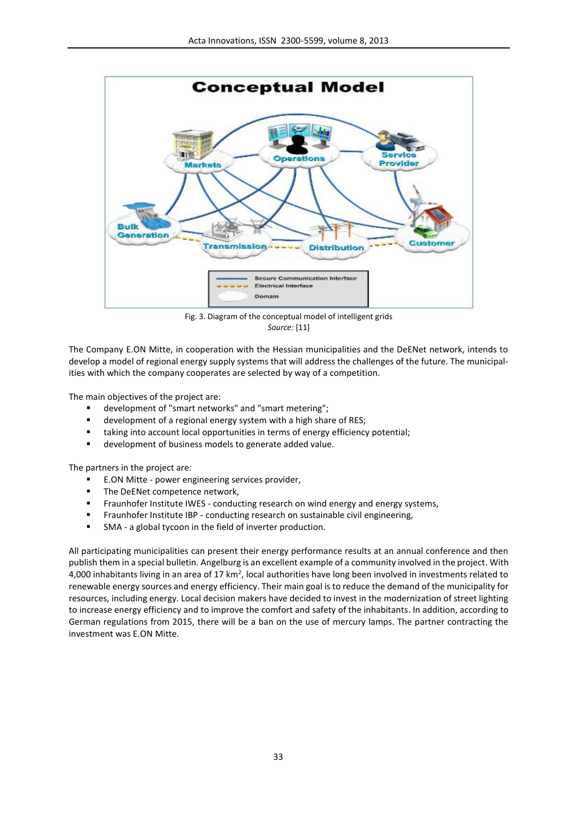

Fig. 3. Diagram of the conceptual model of intelligent grids *Source:* [11]

The Company E.ON Mitte, in cooperation with the Hessian municipalities and the DeENet network, intends to develop a model of regional energy supply systems that will address the challenges of the future. The municipalities with which the company cooperates are selected by way of a competition.

The main objectives of the project are:

- development of "smart networks" and "smart metering";
- development of a regional energy system with a high share of RES;
- taking into account local opportunities in terms of energy efficiency potential;
- development of business models to generate added value.

The partners in the project are:

- E.ON Mitte power engineering services provider,
- **The DeENet competence network,**
- Fraunhofer Institute IWES conducting research on wind energy and energy systems,
- Fraunhofer Institute IBP conducting research on sustainable civil engineering,
- SMA a global tycoon in the field of inverter production.

All participating municipalities can present their energy performance results at an annual conference and then publish them in a special bulletin. Angelburg is an excellent example of a community involved in the project. With 4,000 inhabitants living in an area of 17 km<sup>2</sup>, local authorities have long been involved in investments related to renewable energy sources and energy efficiency. Their main goal is to reduce the demand of the municipality for resources, including energy. Local decision makers have decided to invest in the modernization of street lighting to increase energy efficiency and to improve the comfort and safety of the inhabitants. In addition, according to German regulations from 2015, there will be a ban on the use of mercury lamps. The partner contracting the investment was E.ON Mitte.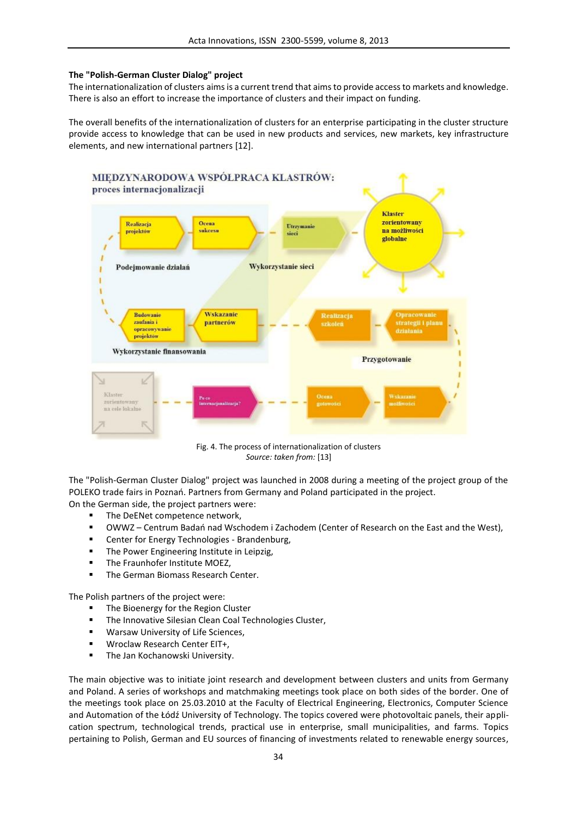## **The "Polish-German Cluster Dialog" project**

The internationalization of clusters aimsis a current trend that aimsto provide access to markets and knowledge. There is also an effort to increase the importance of clusters and their impact on funding.

The overall benefits of the internationalization of clusters for an enterprise participating in the cluster structure provide access to knowledge that can be used in new products and services, new markets, key infrastructure elements, and new international partners [12].



Fig. 4. The process of internationalization of clusters *Source: taken from:* [13]

The "Polish-German Cluster Dialog" project was launched in 2008 during a meeting of the project group of the POLEKO trade fairs in Poznań. Partners from Germany and Poland participated in the project. On the German side, the project partners were:

- The DeENet competence network,
- OWWZ Centrum Badań nad Wschodem i Zachodem (Center of Research on the East and the West),
- Center for Energy Technologies Brandenburg,
- **The Power Engineering Institute in Leipzig,**
- **The Fraunhofer Institute MOEZ,**
- The German Biomass Research Center.

The Polish partners of the project were:

- The Bioenergy for the Region Cluster
- **The Innovative Silesian Clean Coal Technologies Cluster,**
- **Warsaw University of Life Sciences,**
- **Wroclaw Research Center EIT+,**
- **The Jan Kochanowski University.**

The main objective was to initiate joint research and development between clusters and units from Germany and Poland. A series of workshops and matchmaking meetings took place on both sides of the border. One of the meetings took place on 25.03.2010 at the Faculty of Electrical Engineering, Electronics, Computer Science and Automation of the Łódź University of Technology. The topics covered were photovoltaic panels, their application spectrum, technological trends, practical use in enterprise, small municipalities, and farms. Topics pertaining to Polish, German and EU sources of financing of investments related to renewable energy sources,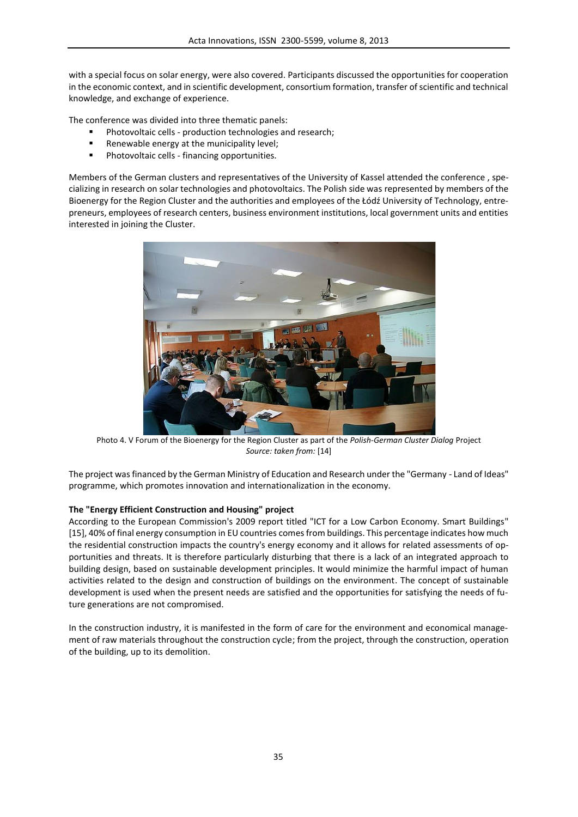with a special focus on solar energy, were also covered. Participants discussed the opportunities for cooperation in the economic context, and in scientific development, consortium formation, transfer of scientific and technical knowledge, and exchange of experience.

The conference was divided into three thematic panels:

- Photovoltaic cells production technologies and research;
- **Renewable energy at the municipality level;**
- Photovoltaic cells financing opportunities.

Members of the German clusters and representatives of the University of Kassel attended the conference , specializing in research on solar technologies and photovoltaics. The Polish side was represented by members of the Bioenergy for the Region Cluster and the authorities and employees of the Łódź University of Technology, entrepreneurs, employees of research centers, business environment institutions, local government units and entities interested in joining the Cluster.



Photo 4. V Forum of the Bioenergy for the Region Cluster as part of the *Polish-German Cluster Dialog* Project *Source: taken from:* [14]

The project was financed by the German Ministry of Education and Research under the "Germany - Land of Ideas" programme, which promotes innovation and internationalization in the economy.

## **The "Energy Efficient Construction and Housing" project**

According to the European Commission's 2009 report titled "ICT for a Low Carbon Economy. Smart Buildings" [15], 40% of final energy consumption in EU countries comes from buildings. This percentage indicates how much the residential construction impacts the country's energy economy and it allows for related assessments of opportunities and threats. It is therefore particularly disturbing that there is a lack of an integrated approach to building design, based on sustainable development principles. It would minimize the harmful impact of human activities related to the design and construction of buildings on the environment. The concept of sustainable development is used when the present needs are satisfied and the opportunities for satisfying the needs of future generations are not compromised.

In the construction industry, it is manifested in the form of care for the environment and economical management of raw materials throughout the construction cycle; from the project, through the construction, operation of the building, up to its demolition.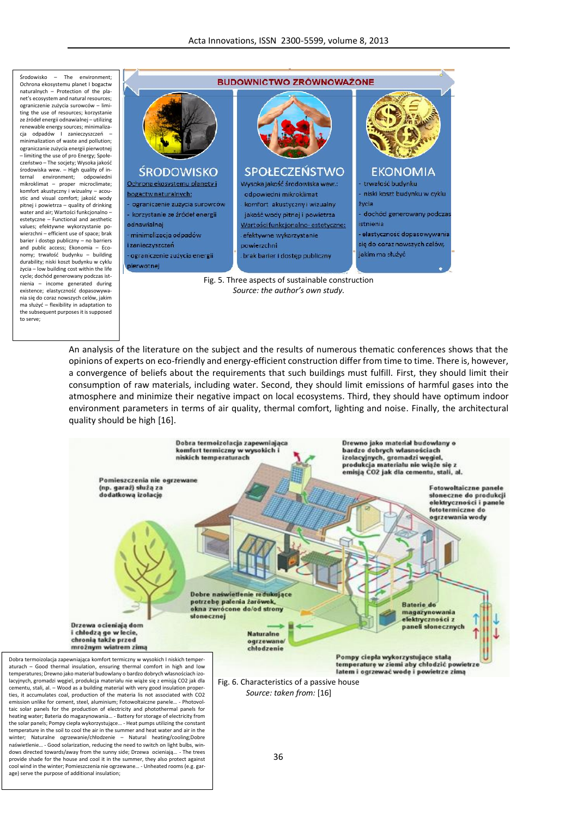Środowisko – The environment; Ochrona ekosystemu planet I bogactw naturalnych – Protection of the planet's ecosystem and natural resources;<br>ograniczenie zużycia surowców – limiting the use of resources; korzystanie ze źródeł energii odnawialnej – utilizing renewable energy sources; minimalizacja odpadów I zanieczyszczeń – minimalization of waste and pollution; ograniczanie zużycia energii pierwotnej ||<br>– limiting the use of pro Energy; Społeczeństwo – The socjety; Wysoka jakość środowiska wew. – High quality of in ternal environment; mikroklimat – proper microclimate; komfort akustyczny i wizualny – acou pitnej i powietrza – quality of drinking estetyczne – Functional and aesthetic<br>uplace of planetesing and provided and policy and policy and policy and policy and policy and policy and policy values; efektywne wykorzystanie po vierzchni – efficient use of space; brak | | - minimalizacia od padów barier i dostęp publiczny – no barriers ||<br>and public access; Ekonomia – Economy; trwałość budynku – building **budynku – ograniczenie zużycia energii** durability; niski koszt budynku w cyklu<br>
tycia – low building cost within the life życia – low building cost within the life cycle; dochód generowany podczas ist nienia – income generated during existence; elastyczność dopasowywania się do coraz nowszych celów, jakim ma służyć – flexibility in adaptation to the subsequent purposes it is supposed to serve;

the solar panels; Pompy ciepła wykorzystujące… - Heat pumps utilizing the constant temperature in the soil to cool the air in the summer and heat water and air in the winter; Naturalne ogrzewanie/chłodzenie – Natural heating/cooling;Dobre naświetlenie… - Good solarization, reducing the need to switch on light bulbs, windows directed towards/away from the sunny side; Drzewa ocieniają… - The trees provide shade for the house and cool it in the summer, they also protect against cool wind in the winter; Pomieszczenia nie ogrzewane… - Unheated rooms (e.g. gar-

age) serve the purpose of additional insulation;



Fig. 5. Three aspects of sustainable construction *Source: the author's own study.*

An analysis of the literature on the subject and the results of numerous thematic conferences shows that the opinions of experts on eco-friendly and energy-efficient construction differ from time to time. There is, however, a convergence of beliefs about the requirements that such buildings must fulfill. First, they should limit their consumption of raw materials, including water. Second, they should limit emissions of harmful gases into the atmosphere and minimize their negative impact on local ecosystems. Third, they should have optimum indoor environment parameters in terms of air quality, thermal comfort, lighting and noise. Finally, the architectural quality should be high [16].



36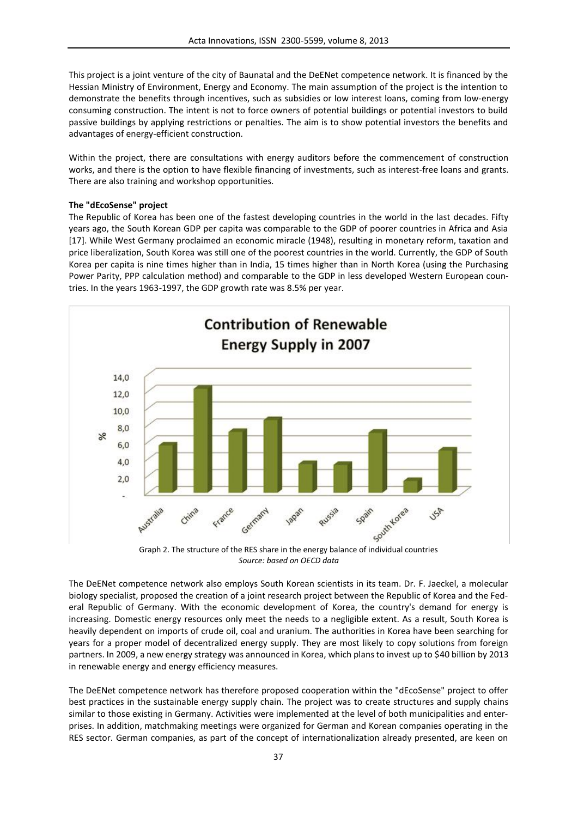This project is a joint venture of the city of Baunatal and the DeENet competence network. It is financed by the Hessian Ministry of Environment, Energy and Economy. The main assumption of the project is the intention to demonstrate the benefits through incentives, such as subsidies or low interest loans, coming from low-energy consuming construction. The intent is not to force owners of potential buildings or potential investors to build passive buildings by applying restrictions or penalties. The aim is to show potential investors the benefits and advantages of energy-efficient construction.

Within the project, there are consultations with energy auditors before the commencement of construction works, and there is the option to have flexible financing of investments, such as interest-free loans and grants. There are also training and workshop opportunities.

### **The "dEcoSense" project**

The Republic of Korea has been one of the fastest developing countries in the world in the last decades. Fifty years ago, the South Korean GDP per capita was comparable to the GDP of poorer countries in Africa and Asia [17]. While West Germany proclaimed an economic miracle (1948), resulting in monetary reform, taxation and price liberalization, South Korea was still one of the poorest countries in the world. Currently, the GDP of South Korea per capita is nine times higher than in India, 15 times higher than in North Korea (using the Purchasing Power Parity, PPP calculation method) and comparable to the GDP in less developed Western European countries. In the years 1963-1997, the GDP growth rate was 8.5% per year.



*Source: based on OECD data*

The DeENet competence network also employs South Korean scientists in its team. Dr. F. Jaeckel, a molecular biology specialist, proposed the creation of a joint research project between the Republic of Korea and the Federal Republic of Germany. With the economic development of Korea, the country's demand for energy is increasing. Domestic energy resources only meet the needs to a negligible extent. As a result, South Korea is heavily dependent on imports of crude oil, coal and uranium. The authorities in Korea have been searching for years for a proper model of decentralized energy supply. They are most likely to copy solutions from foreign partners. In 2009, a new energy strategy was announced in Korea, which plans to invest up to \$40 billion by 2013 in renewable energy and energy efficiency measures.

The DeENet competence network has therefore proposed cooperation within the "dEcoSense" project to offer best practices in the sustainable energy supply chain. The project was to create structures and supply chains similar to those existing in Germany. Activities were implemented at the level of both municipalities and enterprises. In addition, matchmaking meetings were organized for German and Korean companies operating in the RES sector. German companies, as part of the concept of internationalization already presented, are keen on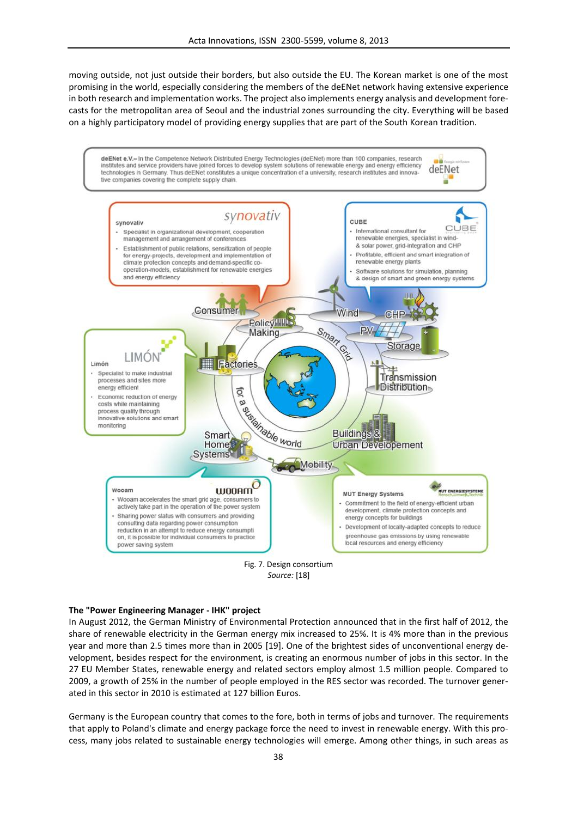moving outside, not just outside their borders, but also outside the EU. The Korean market is one of the most promising in the world, especially considering the members of the deENet network having extensive experience in both research and implementation works. The project also implements energy analysis and development forecasts for the metropolitan area of Seoul and the industrial zones surrounding the city. Everything will be based on a highly participatory model of providing energy supplies that are part of the South Korean tradition.





### **The "Power Engineering Manager - IHK" project**

In August 2012, the German Ministry of Environmental Protection announced that in the first half of 2012, the share of renewable electricity in the German energy mix increased to 25%. It is 4% more than in the previous year and more than 2.5 times more than in 2005 [19]. One of the brightest sides of unconventional energy development, besides respect for the environment, is creating an enormous number of jobs in this sector. In the 27 EU Member States, renewable energy and related sectors employ almost 1.5 million people. Compared to 2009, a growth of 25% in the number of people employed in the RES sector was recorded. The turnover generated in this sector in 2010 is estimated at 127 billion Euros.

Germany is the European country that comes to the fore, both in terms of jobs and turnover. The requirements that apply to Poland's climate and energy package force the need to invest in renewable energy. With this process, many jobs related to sustainable energy technologies will emerge. Among other things, in such areas as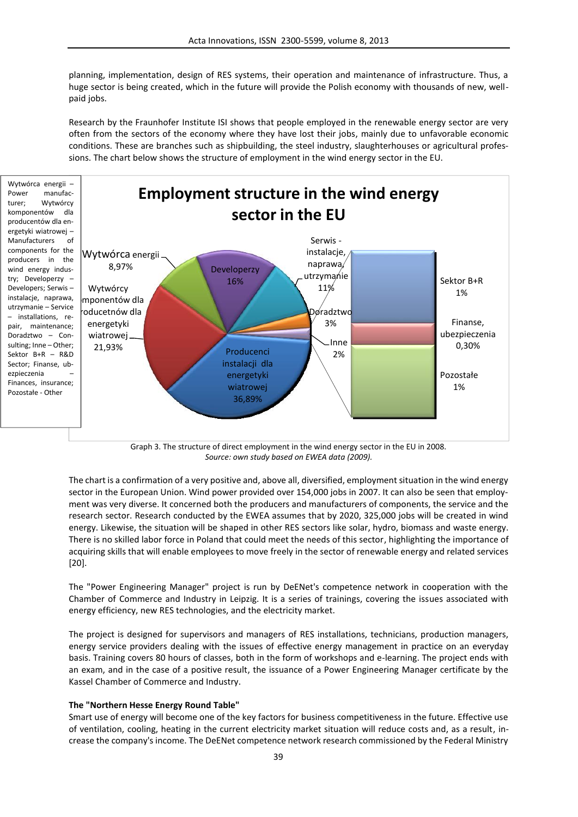planning, implementation, design of RES systems, their operation and maintenance of infrastructure. Thus, a huge sector is being created, which in the future will provide the Polish economy with thousands of new, well paid jobs.

Research by the Fraunhofer Institute ISI shows that people employed in the renewable energy sector are very often from the sectors of the economy where they have lost their jobs, mainly due to unfavorable economic conditions. These are branches such as shipbuilding, the steel industry, slaughterhouses or agricultural professions. The chart below shows the structure of employment in the wind energy sector in the EU.



Graph 3. The structure of direct employment in the wind energy sector in the EU in 2008. *Source: own study based on EWEA data (2009).*

The chart is a confirmation of a very positive and, above all, diversified, employment situation in the wind energy sector in the European Union. Wind power provided over 154,000 jobs in 2007. It can also be seen that employment was very diverse. It concerned both the producers and manufacturers of components, the service and the research sector. Research conducted by the EWEA assumes that by 2020, 325,000 jobs will be created in wind energy. Likewise, the situation will be shaped in other RES sectors like solar, hydro, biomass and waste energy. There is no skilled labor force in Poland that could meet the needs of this sector, highlighting the importance of acquiring skills that will enable employees to move freely in the sector of renewable energy and related services [20].

The "Power Engineering Manager" project is run by DeENet's competence network in cooperation with the Chamber of Commerce and Industry in Leipzig. It is a series of trainings, covering the issues associated with energy efficiency, new RES technologies, and the electricity market.

The project is designed for supervisors and managers of RES installations, technicians, production managers, energy service providers dealing with the issues of effective energy management in practice on an everyday basis. Training covers 80 hours of classes, both in the form of workshops and e-learning. The project ends with an exam, and in the case of a positive result, the issuance of a Power Engineering Manager certificate by the Kassel Chamber of Commerce and Industry.

### **The "Northern Hesse Energy Round Table"**

Smart use of energy will become one of the key factors for business competitiveness in the future. Effective use of ventilation, cooling, heating in the current electricity market situation will reduce costs and, as a result, increase the company's income. The DeENet competence network research commissioned by the Federal Ministry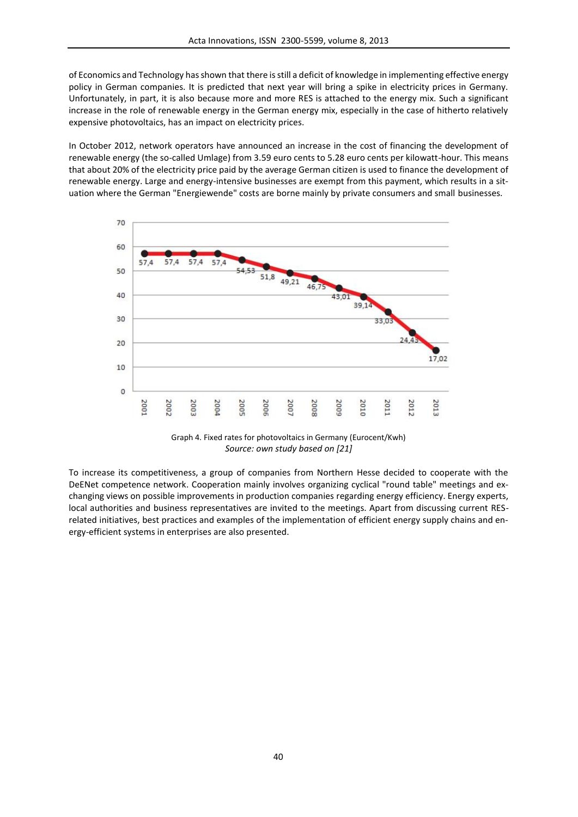of Economics and Technology has shown that there is still a deficit of knowledge in implementing effective energy policy in German companies. It is predicted that next year will bring a spike in electricity prices in Germany. Unfortunately, in part, it is also because more and more RES is attached to the energy mix. Such a significant increase in the role of renewable energy in the German energy mix, especially in the case of hitherto relatively expensive photovoltaics, has an impact on electricity prices.

In October 2012, network operators have announced an increase in the cost of financing the development of renewable energy (the so-called Umlage) from 3.59 euro cents to 5.28 euro cents per kilowatt-hour. This means that about 20% of the electricity price paid by the average German citizen is used to finance the development of renewable energy. Large and energy-intensive businesses are exempt from this payment, which results in a situation where the German "Energiewende" costs are borne mainly by private consumers and small businesses.



Graph 4. Fixed rates for photovoltaics in Germany (Eurocent/Kwh) *Source: own study based on [21]*

To increase its competitiveness, a group of companies from Northern Hesse decided to cooperate with the DeENet competence network. Cooperation mainly involves organizing cyclical "round table" meetings and exchanging views on possible improvements in production companies regarding energy efficiency. Energy experts, local authorities and business representatives are invited to the meetings. Apart from discussing current RES related initiatives, best practices and examples of the implementation of efficient energy supply chains and energy-efficient systems in enterprises are also presented.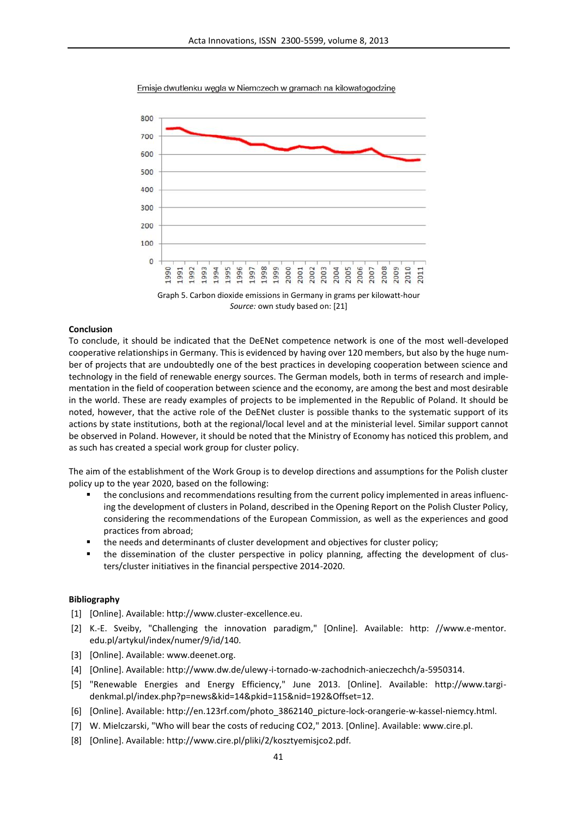

Emisje dwutlenku węgla w Niemczech w gramach na kilowatogodzinę

Graph 5. Carbon dioxide emissions in Germany in grams per kilowatt-hour *Source:* own study based on: [21]

### **Conclusion**

To conclude, it should be indicated that the DeENet competence network is one of the most well-developed cooperative relationships in Germany. This is evidenced by having over 120 members, but also by the huge number of projects that are undoubtedly one of the best practices in developing cooperation between science and technology in the field of renewable energy sources. The German models, both in terms of research and implementation in the field of cooperation between science and the economy, are among the best and most desirable in the world. These are ready examples of projects to be implemented in the Republic of Poland. It should be noted, however, that the active role of the DeENet cluster is possible thanks to the systematic support of its actions by state institutions, both at the regional/local level and at the ministerial level. Similar support cannot be observed in Poland. However, it should be noted that the Ministry of Economy has noticed this problem, and as such has created a special work group for cluster policy.

The aim of the establishment of the Work Group is to develop directions and assumptions for the Polish cluster policy up to the year 2020, based on the following:

- the conclusions and recommendations resulting from the current policy implemented in areas influencing the development of clusters in Poland, described in the Opening Report on the Polish Cluster Policy, considering the recommendations of the European Commission, as well as the experiences and good practices from abroad;
- the needs and determinants of cluster development and objectives for cluster policy;
- the dissemination of the cluster perspective in policy planning, affecting the development of clusters/cluster initiatives in the financial perspective 2014-2020.

# **Bibliography**

- [1] [Online]. Available: http://www.cluster-excellence.eu.
- [2] K.-E. Sveiby, "Challenging the innovation paradigm," [Online]. Available: http: //www.e-mentor. edu.pl/artykul/index/numer/9/id/140.
- [3] [Online]. Available: www.deenet.org.
- [4] [Online]. Available: http://www.dw.de/ulewy-i-tornado-w-zachodnich-anieczechch/a-5950314.
- [5] "Renewable Energies and Energy Efficiency," June 2013. [Online]. Available: http://www.targi denkmal.pl/index.php?p=news&kid=14&pkid=115&nid=192&Offset=12.
- [6] [Online]. Available: http://en.123rf.com/photo\_3862140\_picture-lock-orangerie-w-kassel-niemcy.html.
- [7] W. Mielczarski, "Who will bear the costs of reducing CO2," 2013. [Online]. Available: www.cire.pl.
- [8] [Online]. Available: http://www.cire.pl/pliki/2/kosztyemisjco2.pdf.